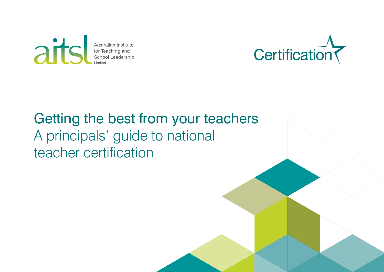



# Getting the best from your teachers A principals' guide to national teacher certification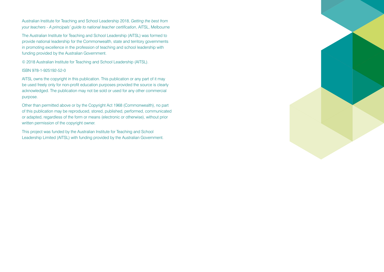Australian Institute for Teaching and School Leadership 2018, *Getting the best from your teachers - A principals' guide to national teacher certification*, AITSL, Melbourne

The Australian Institute for Teaching and School Leadership (AITSL) was formed to provide national leadership for the Commonwealth, state and territory governments in promoting excellence in the profession of teaching and school leadership with funding provided by the Australian Government.

© 2018 Australian Institute for Teaching and School Leadership (AITSL).

#### ISBN 978-1-925192-52-0

AITSL owns the copyright in this publication. This publication or any part of it may be used freely only for non-profit education purposes provided the source is clearly acknowledged. The publication may not be sold or used for any other commercial purpose.

Other than permitted above or by the Copyright Act 1968 (Commonwealth), no part of this publication may be reproduced, stored, published, performed, communicated or adapted, regardless of the form or means (electronic or otherwise), without prior written permission of the copyright owner.

This project was funded by the Australian Institute for Teaching and School Leadership Limited (AITSL) with funding provided by the Australian Government.

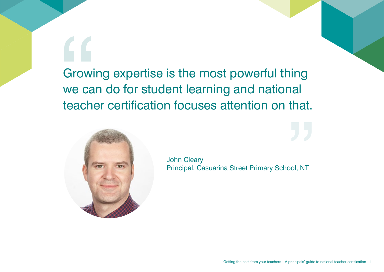# Growing expertise is the most powerful thing we can do for student learning and national teacher certification focuses attention on that. Growir<br>
we car<br>
teache



John Cleary Principal, Casuarina Street Primary School, NT |<br>|<br>|<br>|<br>|<br>|<br>|<br>|<br>|<br>|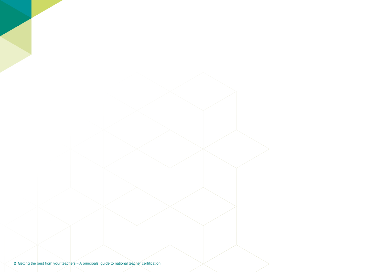2 Getting the best from your teachers – A principals' guide to national teacher certification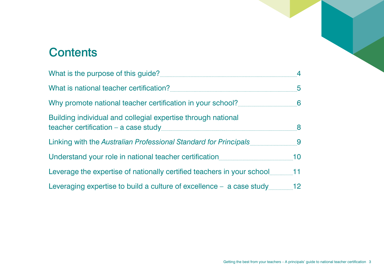### **Contents**

|                                                                                                                                                                                                                                                                                                | $\overline{4}$ |
|------------------------------------------------------------------------------------------------------------------------------------------------------------------------------------------------------------------------------------------------------------------------------------------------|----------------|
|                                                                                                                                                                                                                                                                                                |                |
| Why promote national teacher certification in your school? 6                                                                                                                                                                                                                                   |                |
| Building individual and collegial expertise through national<br>teacher certification – a case study expression and a study and study and study and study and study and study of the study of the study of the study of the study of the study of the study of the study of the study of the s |                |
| Linking with the Australian Professional Standard for Principals 9                                                                                                                                                                                                                             |                |
| Understand your role in national teacher certification                                                                                                                                                                                                                                         | 10             |
| Leverage the expertise of nationally certified teachers in your school 11                                                                                                                                                                                                                      |                |
| Leveraging expertise to build a culture of excellence – a case study 12                                                                                                                                                                                                                        |                |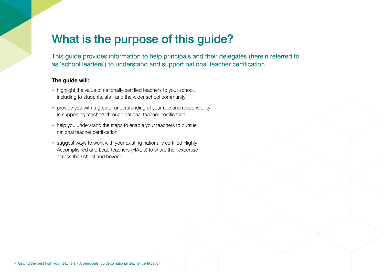### <span id="page-5-0"></span>What is the purpose of this guide?

This guide provides information to help principals and their delegates (herein referred to as 'school leaders') to understand and support national teacher certification.

### **The guide will:**

- **•** highlight the value of nationally certified teachers to your school, including to students, staff and the wider school community
- **•** provide you with a greater understanding of your role and responsibility in supporting teachers through national teacher certification
- **•** help you understand the steps to enable your teachers to pursue national teacher certification
- **•** suggest ways to work with your existing nationally certified Highly Accomplished and Lead teachers (HALTs) to share their expertise across the school and beyond.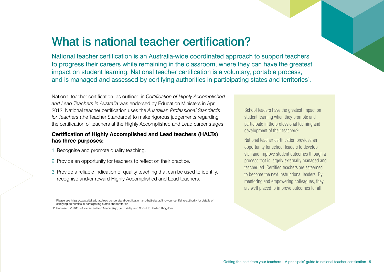### <span id="page-6-0"></span>What is national teacher certification?

National teacher certification is an Australia-wide coordinated approach to support teachers to progress their careers while remaining in the classroom, where they can have the greatest impact on student learning. National teacher certification is a voluntary, portable process, and is managed and assessed by certifying authorities in participating states and territories<sup>1</sup>.

National teacher certification, as outlined in *Certification of Highly Accomplished and Lead Teachers in Australia* was endorsed by Education Ministers in April 2012. National teacher certification uses the *Australian Professional Standards for Teachers* (the Teacher Standards) to make rigorous judgements regarding the certification of teachers at the Highly Accomplished and Lead career stages.

### **Certification of Highly Accomplished and Lead teachers (HALTs) has three purposes:**

- 1. Recognise and promote quality teaching.
- 2. Provide an opportunity for teachers to reflect on their practice.
- 3. Provide a reliable indication of quality teaching that can be used to identify, recognise and/or reward Highly Accomplished and Lead teachers.

1 Please see https://www.aitsl.edu.au/teach/understand-certification-and-halt-status/find-your-certifying-authority for details of certifying authorities in participating states and territories

2 Robinson, V 2011, *Student-centered Leadership*, John Wiley and Sons Ltd, United Kingdom.

School leaders have the greatest impact on student learning when they promote and participate in the professional learning and development of their teachers<sup>2</sup>.

National teacher certification provides an opportunity for school leaders to develop staff and improve student outcomes through a process that is largely externally managed and teacher led. Certified teachers are esteemed to become the next instructional leaders. By mentoring and empowering colleagues, they are well placed to improve outcomes for all.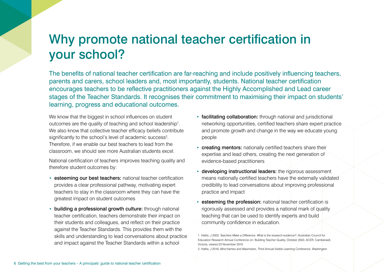# <span id="page-7-0"></span>Why promote national teacher certification in your school?

The benefits of national teacher certification are far-reaching and include positively influencing teachers, parents and carers, school leaders and, most importantly, students. National teacher certification encourages teachers to be reflective practitioners against the Highly Accomplished and Lead career stages of the Teacher Standards. It recognises their commitment to maximising their impact on students' learning, progress and educational outcomes.

We know that the biggest in school influences on student outcomes are the quality of teaching and school leadership<sup>1</sup>. We also know that collective teacher efficacy beliefs contribute significantly to the school's level of academic success<sup>2</sup>. Therefore, if we enable our best teachers to lead from the classroom, we should see more Australian students excel.

National certification of teachers improves teaching quality and therefore student outcomes by:

- **•** esteeming our best teachers: national teacher certification provides a clear professional pathway, motivating expert teachers to stay in the classroom where they can have the greatest impact on student outcomes
- **•** building a professional growth culture: through national teacher certification, teachers demonstrate their impact on their students and colleagues, and reflect on their practice against the Teacher Standards. This provides them with the skills and understanding to lead conversations about practice and impact against the Teacher Standards within a school
- **facilitating collaboration:** through national and jurisdictional networking opportunities, certified teachers share expert practice and promote growth and change in the way we educate young people
- **•** creating mentors: nationally certified teachers share their expertise and lead others, creating the next generation of evidence-based practitioners
- **•** developing instructional leaders: the rigorous assessment means nationally certified teachers have the externally validated credibility to lead conversations about improving professional practice and impact
- esteeming the profession: national teacher certification is rigorously assessed and provides a national mark of quality teaching that can be used to identify experts and build community confidence in education.

2. Hattie, J 2016, *Mind frames and Maximizers*, Third Annual Visible Learning Conference, Washington

<sup>1</sup> Hattie, J 2003, *Teachers Make a Difference: What is the research evidence?*, Australian Council for Education Research Annual Conference on: Building Teacher Quality, October 2003, ACER, Camberwell, Victoria, viewed 23 November 2016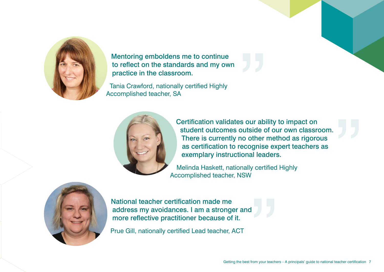

Mentoring emboldens me to continue to reflect on the standards and my own practice in the classroom.

Tania Crawford, nationally certified Highly Accomplished teacher, SA



**1999**<br>es our abil " Certification validates our ability to impact on student outcomes outside of our own classroom. There is currently no other method as rigorous as certification to recognise expert teachers as exemplary instructional leaders.

Melinda Haskett, nationally certified Highly Accomplished teacher, NSW



National teacher certification made me address my avoidances. I am a stronger and more reflective practitioner because of it.

Prue Gill, nationally certified Lead teacher, ACT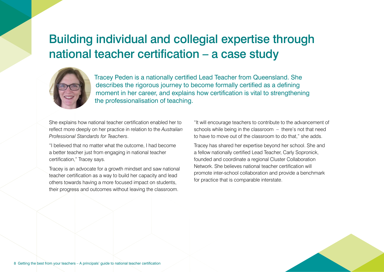### <span id="page-9-0"></span>Building individual and collegial expertise through national teacher certification – a case study



Tracey Peden is a nationally certified Lead Teacher from Queensland. She describes the rigorous journey to become formally certified as a defining moment in her career, and explains how certification is vital to strengthening the professionalisation of teaching.

She explains how national teacher certification enabled her to reflect more deeply on her practice in relation to the *Australian Professional Standards for Teachers*.

"I believed that no matter what the outcome, I had become a better teacher just from engaging in national teacher certification," Tracey says.

Tracey is an advocate for a growth mindset and saw national teacher certification as a way to build her capacity and lead others towards having a more focused impact on students, their progress and outcomes without leaving the classroom.

"It will encourage teachers to contribute to the advancement of schools while being in the classroom – there's not that need to have to move out of the classroom to do that," she adds.

Tracey has shared her expertise beyond her school. She and a fellow nationally certified Lead Teacher, Carly Sopronick, founded and coordinate a regional Cluster Collaboration Network. She believes national teacher certification will promote inter-school collaboration and provide a benchmark for practice that is comparable interstate.

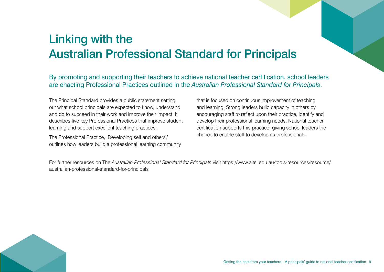# <span id="page-10-0"></span>Linking with the Australian Professional Standard for Principals

By promoting and supporting their teachers to achieve national teacher certification, school leaders are enacting Professional Practices outlined in the *Australian Professional Standard for Principals*.

The Principal Standard provides a public statement setting out what school principals are expected to know, understand and do to succeed in their work and improve their impact. It describes five key Professional Practices that improve student learning and support excellent teaching practices.

The Professional Practice, 'Developing self and others,' outlines how leaders build a professional learning community that is focused on continuous improvement of teaching and learning. Strong leaders build capacity in others by encouraging staff to reflect upon their practice, identify and develop their professional learning needs. National teacher certification supports this practice, giving school leaders the chance to enable staff to develop as professionals.

For further resources on The *Australian Professional Standard for Principals* visit https://www.aitsl.edu.au/tools-resources/resource/ australian-professional-standard-for-principals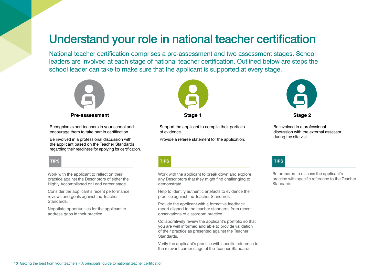### <span id="page-11-0"></span>Understand your role in national teacher certification

National teacher certification comprises a pre-assessment and two assessment stages. School leaders are involved at each stage of national teacher certification. Outlined below are steps the school leader can take to make sure that the applicant is supported at every stage.



#### **Pre-assessment Stage 1 Stage 2**

Recognise expert teachers in your school and encourage them to take part in certification.

Be involved in a professional discussion with the applicant based on the Teacher Standards regarding their readiness for applying for certification.

Work with the applicant to reflect on their practice against the Descriptors of either the Highly Accomplished or Lead career stage.

Consider the applicant's recent performance reviews and goals against the Teacher Standards.

Negotiate opportunities for the applicant to address gaps in their practice.



Support the applicant to compile their portfolio of evidence.

Provide a referee statement for the application.



Be involved in a professional discussion with the external assessor during the site visit.

### **TIPS TIPS TIPS**

Work with the applicant to break down and explore any Descriptors that they might find challenging to demonstrate.

Help to identify authentic artefacts to evidence their practice against the Teacher Standards.

Provide the applicant with a formative feedback report aligned to the teacher standards from recent observations of classroom practice.

Collaboratively review the applicant's portfolio so that you are well informed and able to provide validation of their practice as presented against the Teacher Standards.

Verify the applicant's practice with specific reference to the relevant career stage of the Teacher Standards.

Be prepared to discuss the applicant's practice with specific reference to the Teacher **Standards**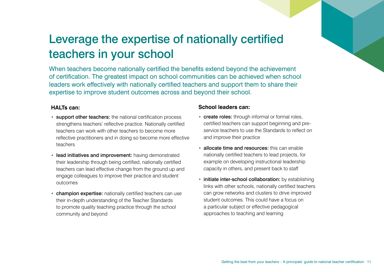### <span id="page-12-0"></span>Leverage the expertise of nationally certified teachers in your school

When teachers become nationally certified the benefits extend beyond the achievement of certification. The greatest impact on school communities can be achieved when school leaders work effectively with nationally certified teachers and support them to share their expertise to improve student outcomes across and beyond their school.

#### **HALTs can:**

- **•** support other teachers: the national certification process strengthens teachers' reflective practice. Nationally certified teachers can work with other teachers to become more reflective practitioners and in doing so become more effective teachers
- **•** lead initiatives and improvement: having demonstrated their leadership through being certified, nationally certified teachers can lead effective change from the ground up and engage colleagues to improve their practice and student outcomes
- **•** champion expertise: nationally certified teachers can use their in-depth understanding of the Teacher Standards to promote quality teaching practice through the school community and beyond

#### **School leaders can:**

- **•** create roles: through informal or formal roles, certified teachers can support beginning and preservice teachers to use the Standards to reflect on and improve their practice
- **allocate time and resources**: this can enable nationally certified teachers to lead projects, for example on developing instructional leadership capacity in others, and present back to staff
- initiate inter-school collaboration: by establishing links with other schools, nationally certified teachers can grow networks and clusters to drive improved student outcomes. This could have a focus on a particular subject or effective pedagogical approaches to teaching and learning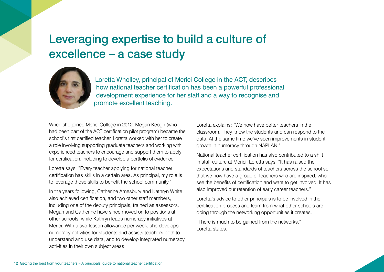### <span id="page-13-0"></span>Leveraging expertise to build a culture of excellence – a case study



Loretta Wholley, principal of Merici College in the ACT, describes how national teacher certification has been a powerful professional development experience for her staff and a way to recognise and promote excellent teaching.

When she joined Merici College in 2012, Megan Keogh (who had been part of the ACT certification pilot program) became the school's first certified teacher. Loretta worked with her to create a role involving supporting graduate teachers and working with experienced teachers to encourage and support them to apply for certification, including to develop a portfolio of evidence.

Loretta says: "Every teacher applying for national teacher certification has skills in a certain area. As principal, my role is to leverage those skills to benefit the school community."

In the years following, Catherine Amesbury and Kathryn White also achieved certification, and two other staff members, including one of the deputy principals, trained as assessors. Megan and Catherine have since moved on to positions at other schools, while Kathryn leads numeracy initiatives at Merici. With a two-lesson allowance per week, she develops numeracy activities for students and assists teachers both to understand and use data, and to develop integrated numeracy activities in their own subject areas.

Loretta explains: "We now have better teachers in the classroom. They know the students and can respond to the data. At the same time we've seen improvements in student growth in numeracy through NAPLAN."

National teacher certification has also contributed to a shift in staff culture at Merici. Loretta says: "It has raised the expectations and standards of teachers across the school so that we now have a group of teachers who are inspired, who see the benefits of certification and want to get involved. It has also improved our retention of early career teachers."

Loretta's advice to other principals is to be involved in the certification process and learn from what other schools are doing through the networking opportunities it creates.

"There is much to be gained from the networks," Loretta states.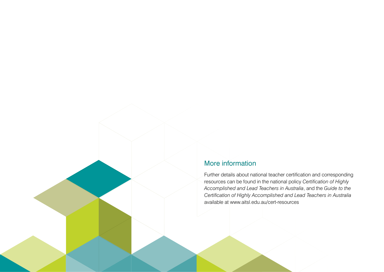### More information

Further details about national teacher certification and corresponding resources can be found in the national policy *Certification of Highly Accomplished and Lead Teachers in Australia*, and the *Guide to the Certification of Highly Accomplished and Lead Teachers in Australia* available at www.aitsl.edu.au/cert-resources